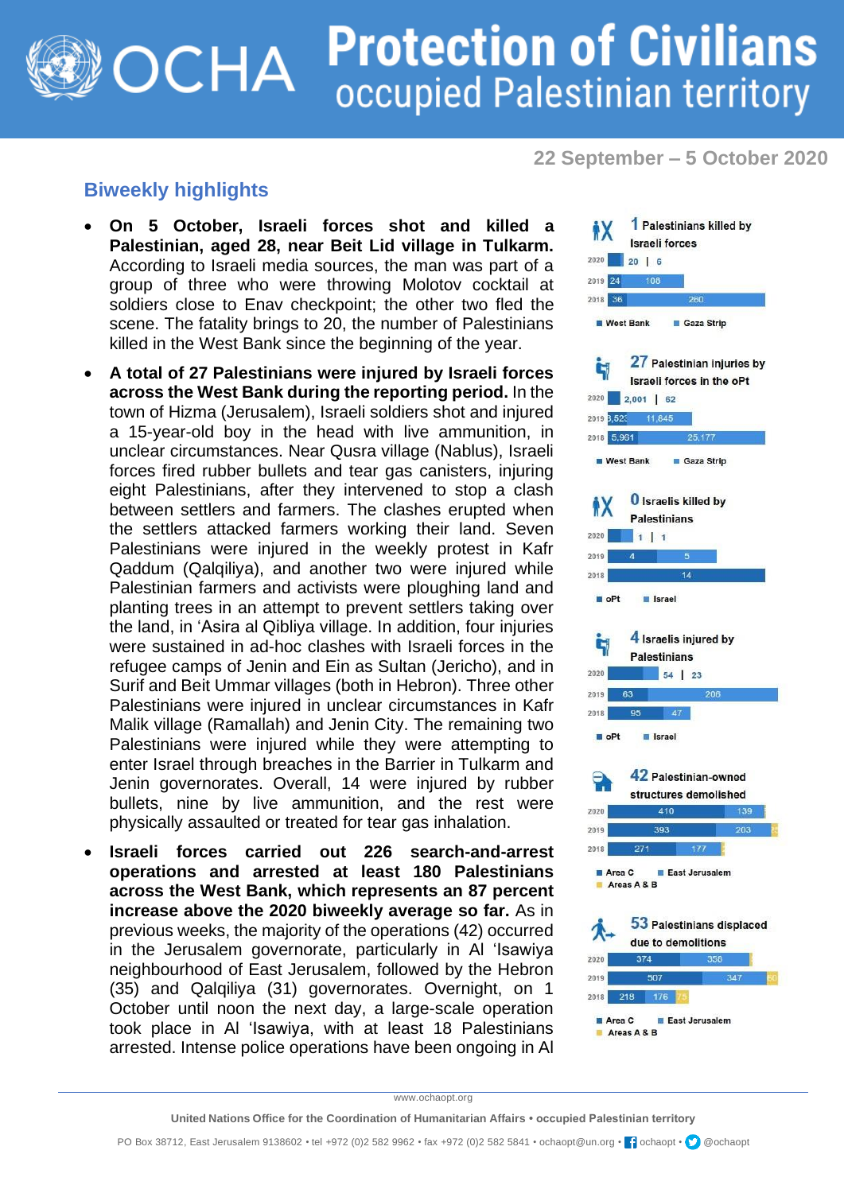## **Protection of Civilians** OCHA occupied Palestinian territory

**22 September – 5 October 2020**

## **Biweekly highlights**

- **On 5 October, Israeli forces shot and killed a Palestinian, aged 28, near Beit Lid village in Tulkarm.** According to Israeli media sources, the man was part of a group of three who were throwing Molotov cocktail at soldiers close to Enav checkpoint; the other two fled the scene. The fatality brings to 20, the number of Palestinians killed in the West Bank since the beginning of the year.
- **A total of 27 Palestinians were injured by Israeli forces across the West Bank during the reporting period.** In the town of Hizma (Jerusalem), Israeli soldiers shot and injured a 15-year-old boy in the head with live ammunition, in unclear circumstances. Near Qusra village (Nablus), Israeli forces fired rubber bullets and tear gas canisters, injuring eight Palestinians, after they intervened to stop a clash between settlers and farmers. The clashes erupted when the settlers attacked farmers working their land. Seven Palestinians were injured in the weekly protest in Kafr Qaddum (Qalqiliya), and another two were injured while Palestinian farmers and activists were ploughing land and planting trees in an attempt to prevent settlers taking over the land, in 'Asira al Qibliya village. In addition, four injuries were sustained in ad-hoc clashes with Israeli forces in the refugee camps of Jenin and Ein as Sultan (Jericho), and in Surif and Beit Ummar villages (both in Hebron). Three other Palestinians were injured in unclear circumstances in Kafr Malik village (Ramallah) and Jenin City. The remaining two Palestinians were injured while they were attempting to enter Israel through breaches in the Barrier in Tulkarm and Jenin governorates. Overall, 14 were injured by rubber bullets, nine by live ammunition, and the rest were physically assaulted or treated for tear gas inhalation.
- **Israeli forces carried out 226 search-and-arrest operations and arrested at least 180 Palestinians across the West Bank, which represents an 87 percent increase above the 2020 biweekly average so far.** As in previous weeks, the majority of the operations (42) occurred in the Jerusalem governorate, particularly in Al 'Isawiya neighbourhood of East Jerusalem, followed by the Hebron (35) and Qalqiliya (31) governorates. Overnight, on 1 October until noon the next day, a large-scale operation took place in Al 'Isawiya, with at least 18 Palestinians arrested. Intense police operations have been ongoing in Al



www.ochaopt.org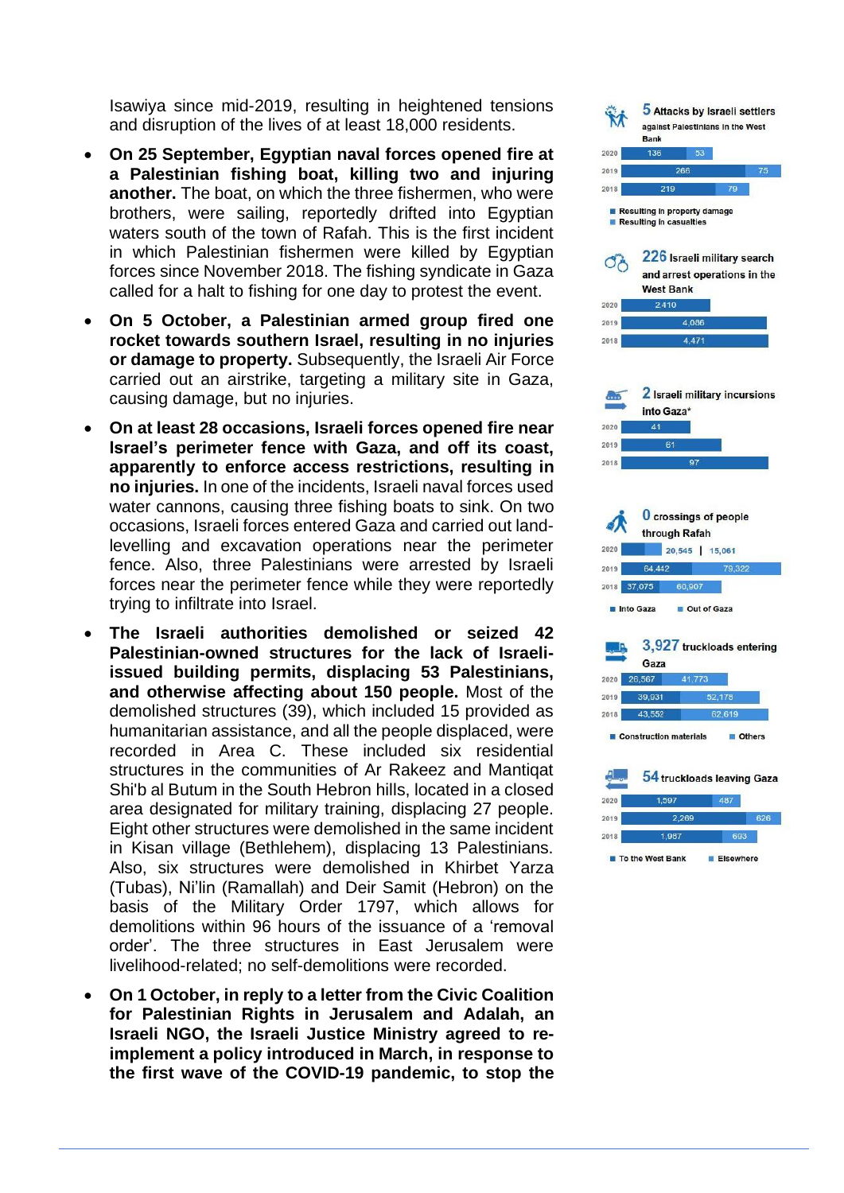Isawiya since mid -2019, resulting in heightened tensions and disruption of the lives of at least 18,000 residents.

- **On 25 September, Egyptian naval forces opened fire at a Palestinian fishing boat, killing two and injuring another.** The boat, on which the three fishermen, who were brothers, were sailing, reportedly drifted into Egyptian waters south of the town of Rafah. This is the first incident in which Palestinian fishermen were killed by Egyptian forces since November 2018. The fishing syndicate in Gaza called fo r a halt to fishing for one day to protest the event.
- **On 5 October, a Palestinian armed group fired one rocket towards southern Israel, resulting in no injuries or damage to property.** Subsequently, the Israeli Air Force carried out an airstrike, targeting a military site in Gaza, causing damage, but no injuries.
- **On at least 28 occasions, Israeli forces opened fire near Israel's perimeter fence with Gaza, and off its coast, apparently to enforce access restrictions, resulting in no injuries.** In one of the incidents, Israeli naval forces used water cannons, causing three fishing boats to sink. On two occasions, Israeli forces entered Gaza and carried out land levelling and excavation operations near the perimeter fence. Also, three Palestinians were arrested by Israeli forces near the perimeter fence while they were reportedly trying to infiltrate into Israel.
- **The Israeli authorities demolished or seized 42 Palestinian -owned structures for the lack of Israeli issued building permits, displacing 53 Palestinians, and otherwise affecting about 150 people.** Most of the demolished structures (39), which included 15 provided as humanitarian assistance, and all the people displaced, were recorded in Area C. These included six residential structures in the communities of Ar Rakeez and Mantiqat Shi'b al Butum in the South Hebron hills, located in a closed area designated for military training, displacing 27 people. Eight other structures were demolished in the same incident in Kisan village (Bethlehem), displacing 13 Palestinians. Also, six structures were demolished in Khirbet Yarza (Tubas), Ni'lin (Ramallah) and Deir Samit (Hebron) on the basis of the Military Order 1797, which allows for demolitions within 96 hours of the issuance of a 'removal order'. The three structures in East Jerusalem were livelihood -related; no self -demolitions were recorded.
- **On 1 October, in reply to a letter from the Civic Coalition for Palestinian Rights in Jerusalem and Adalah, an Israeli NGO, the Israeli Justice Ministry agreed to re implement a policy introduced in March, in response to the first wave of the COVID -19 pandemic, to stop the**